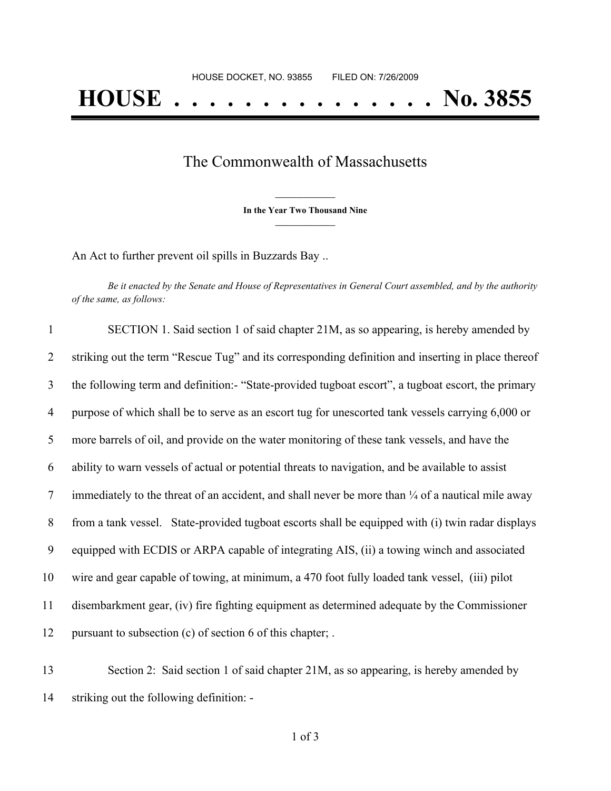## The Commonwealth of Massachusetts

**\_\_\_\_\_\_\_\_\_\_\_\_\_\_\_ In the Year Two Thousand Nine \_\_\_\_\_\_\_\_\_\_\_\_\_\_\_**

An Act to further prevent oil spills in Buzzards Bay ..

Be it enacted by the Senate and House of Representatives in General Court assembled, and by the authority *of the same, as follows:*

| $\mathbf{1}$ | SECTION 1. Said section 1 of said chapter 21M, as so appearing, is hereby amended by                         |
|--------------|--------------------------------------------------------------------------------------------------------------|
| 2            | striking out the term "Rescue Tug" and its corresponding definition and inserting in place thereof           |
| 3            | the following term and definition:- "State-provided tugboat escort", a tugboat escort, the primary           |
| 4            | purpose of which shall be to serve as an escort tug for unescorted tank vessels carrying 6,000 or            |
| 5            | more barrels of oil, and provide on the water monitoring of these tank vessels, and have the                 |
| 6            | ability to warn vessels of actual or potential threats to navigation, and be available to assist             |
| 7            | immediately to the threat of an accident, and shall never be more than $\frac{1}{4}$ of a nautical mile away |
| 8            | from a tank vessel. State-provided tugboat escorts shall be equipped with (i) twin radar displays            |
| 9            | equipped with ECDIS or ARPA capable of integrating AIS, (ii) a towing winch and associated                   |
| 10           | wire and gear capable of towing, at minimum, a 470 foot fully loaded tank vessel, (iii) pilot                |
| 11           | disembarkment gear, (iv) fire fighting equipment as determined adequate by the Commissioner                  |
| 12           | pursuant to subsection (c) of section 6 of this chapter; .                                                   |
|              |                                                                                                              |

13 Section 2: Said section 1 of said chapter 21M, as so appearing, is hereby amended by 14 striking out the following definition: -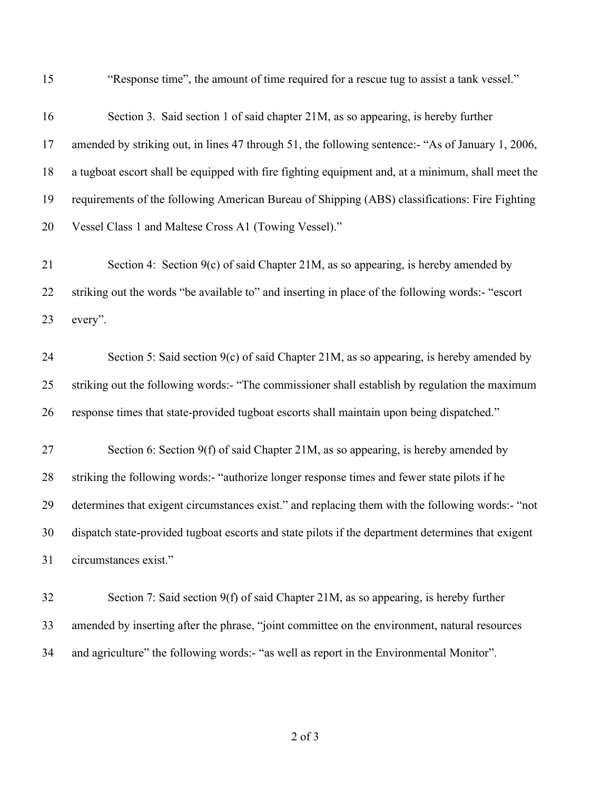"Response time", the amount of time required for a rescue tug to assist a tank vessel."

| 16 | Section 3. Said section 1 of said chapter 21M, as so appearing, is hereby further                  |
|----|----------------------------------------------------------------------------------------------------|
| 17 | amended by striking out, in lines 47 through 51, the following sentence:- "As of January 1, 2006,  |
| 18 | a tugboat escort shall be equipped with fire fighting equipment and, at a minimum, shall meet the  |
| 19 | requirements of the following American Bureau of Shipping (ABS) classifications: Fire Fighting     |
| 20 | Vessel Class 1 and Maltese Cross A1 (Towing Vessel)."                                              |
| 21 | Section 4: Section 9(c) of said Chapter 21M, as so appearing, is hereby amended by                 |
| 22 | striking out the words "be available to" and inserting in place of the following words:- "escort   |
| 23 | every".                                                                                            |
| 24 | Section 5: Said section $9(c)$ of said Chapter 21M, as so appearing, is hereby amended by          |
| 25 | striking out the following words:- "The commissioner shall establish by regulation the maximum     |
| 26 | response times that state-provided tugboat escorts shall maintain upon being dispatched."          |
| 27 | Section 6: Section 9(f) of said Chapter 21M, as so appearing, is hereby amended by                 |
| 28 | striking the following words:- "authorize longer response times and fewer state pilots if he       |
| 29 | determines that exigent circumstances exist." and replacing them with the following words:- "not   |
| 30 | dispatch state-provided tugboat escorts and state pilots if the department determines that exigent |
| 31 | circumstances exist."                                                                              |
| 32 | Section 7: Said section 9(f) of said Chapter 21M, as so appearing, is hereby further               |
| 33 | amended by inserting after the phrase, "joint committee on the environment, natural resources      |
| 34 | and agriculture" the following words:- "as well as report in the Environmental Monitor".           |